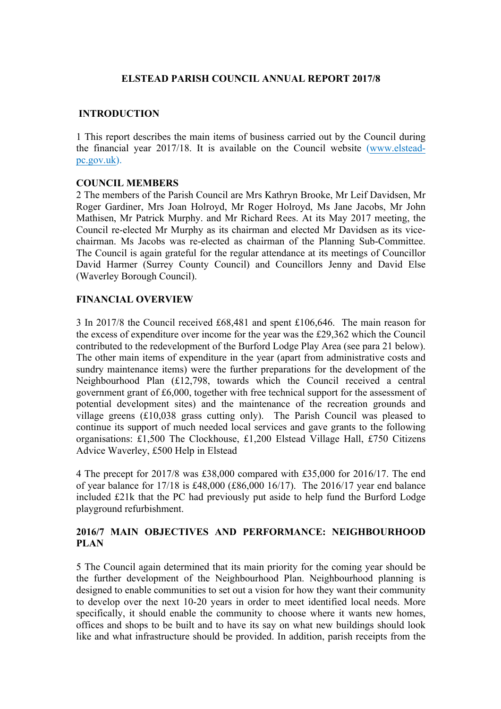## **ELSTEAD PARISH COUNCIL ANNUAL REPORT 2017/8**

## **INTRODUCTION**

1 This report describes the main items of business carried out by the Council during the financial year 2017/18. It is available on the Council website (www.elsteadpc.gov.uk).

#### **COUNCIL MEMBERS**

2 The members of the Parish Council are Mrs Kathryn Brooke, Mr Leif Davidsen, Mr Roger Gardiner, Mrs Joan Holroyd, Mr Roger Holroyd, Ms Jane Jacobs, Mr John Mathisen, Mr Patrick Murphy. and Mr Richard Rees. At its May 2017 meeting, the Council re-elected Mr Murphy as its chairman and elected Mr Davidsen as its vicechairman. Ms Jacobs was re-elected as chairman of the Planning Sub-Committee. The Council is again grateful for the regular attendance at its meetings of Councillor David Harmer (Surrey County Council) and Councillors Jenny and David Else (Waverley Borough Council).

### **FINANCIAL OVERVIEW**

3 In 2017/8 the Council received £68,481 and spent £106,646. The main reason for the excess of expenditure over income for the year was the £29,362 which the Council contributed to the redevelopment of the Burford Lodge Play Area (see para 21 below). The other main items of expenditure in the year (apart from administrative costs and sundry maintenance items) were the further preparations for the development of the Neighbourhood Plan (£12,798, towards which the Council received a central government grant of £6,000, together with free technical support for the assessment of potential development sites) and the maintenance of the recreation grounds and village greens (£10,038 grass cutting only). The Parish Council was pleased to continue its support of much needed local services and gave grants to the following organisations: £1,500 The Clockhouse, £1,200 Elstead Village Hall, £750 Citizens Advice Waverley, £500 Help in Elstead

4 The precept for 2017/8 was £38,000 compared with £35,000 for 2016/17. The end of year balance for 17/18 is £48,000 (£86,000 16/17). The 2016/17 year end balance included £21k that the PC had previously put aside to help fund the Burford Lodge playground refurbishment.

### **2016/7 MAIN OBJECTIVES AND PERFORMANCE: NEIGHBOURHOOD PLAN**

5 The Council again determined that its main priority for the coming year should be the further development of the Neighbourhood Plan. Neighbourhood planning is designed to enable communities to set out a vision for how they want their community to develop over the next 10-20 years in order to meet identified local needs. More specifically, it should enable the community to choose where it wants new homes, offices and shops to be built and to have its say on what new buildings should look like and what infrastructure should be provided. In addition, parish receipts from the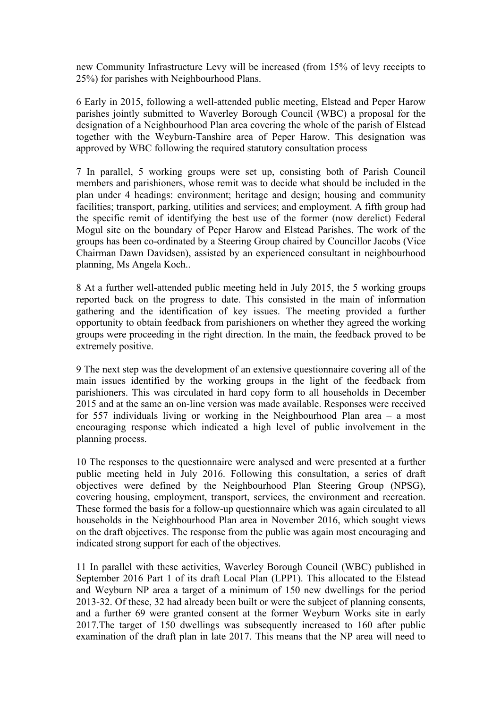new Community Infrastructure Levy will be increased (from 15% of levy receipts to 25%) for parishes with Neighbourhood Plans.

6 Early in 2015, following a well-attended public meeting, Elstead and Peper Harow parishes jointly submitted to Waverley Borough Council (WBC) a proposal for the designation of a Neighbourhood Plan area covering the whole of the parish of Elstead together with the Weyburn-Tanshire area of Peper Harow. This designation was approved by WBC following the required statutory consultation process

7 In parallel, 5 working groups were set up, consisting both of Parish Council members and parishioners, whose remit was to decide what should be included in the plan under 4 headings: environment; heritage and design; housing and community facilities; transport, parking, utilities and services; and employment. A fifth group had the specific remit of identifying the best use of the former (now derelict) Federal Mogul site on the boundary of Peper Harow and Elstead Parishes. The work of the groups has been co-ordinated by a Steering Group chaired by Councillor Jacobs (Vice Chairman Dawn Davidsen), assisted by an experienced consultant in neighbourhood planning, Ms Angela Koch..

8 At a further well-attended public meeting held in July 2015, the 5 working groups reported back on the progress to date. This consisted in the main of information gathering and the identification of key issues. The meeting provided a further opportunity to obtain feedback from parishioners on whether they agreed the working groups were proceeding in the right direction. In the main, the feedback proved to be extremely positive.

9 The next step was the development of an extensive questionnaire covering all of the main issues identified by the working groups in the light of the feedback from parishioners. This was circulated in hard copy form to all households in December 2015 and at the same an on-line version was made available. Responses were received for 557 individuals living or working in the Neighbourhood Plan area – a most encouraging response which indicated a high level of public involvement in the planning process.

10 The responses to the questionnaire were analysed and were presented at a further public meeting held in July 2016. Following this consultation, a series of draft objectives were defined by the Neighbourhood Plan Steering Group (NPSG), covering housing, employment, transport, services, the environment and recreation. These formed the basis for a follow-up questionnaire which was again circulated to all households in the Neighbourhood Plan area in November 2016, which sought views on the draft objectives. The response from the public was again most encouraging and indicated strong support for each of the objectives.

11 In parallel with these activities, Waverley Borough Council (WBC) published in September 2016 Part 1 of its draft Local Plan (LPP1). This allocated to the Elstead and Weyburn NP area a target of a minimum of 150 new dwellings for the period 2013-32. Of these, 32 had already been built or were the subject of planning consents, and a further 69 were granted consent at the former Weyburn Works site in early 2017.The target of 150 dwellings was subsequently increased to 160 after public examination of the draft plan in late 2017. This means that the NP area will need to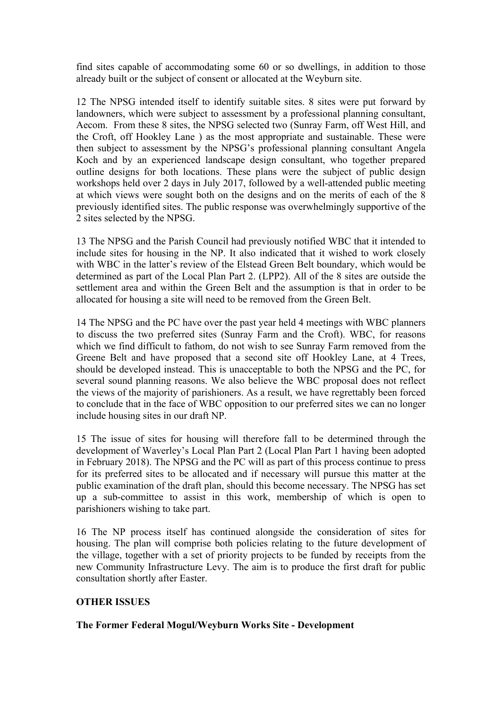find sites capable of accommodating some 60 or so dwellings, in addition to those already built or the subject of consent or allocated at the Weyburn site.

12 The NPSG intended itself to identify suitable sites. 8 sites were put forward by landowners, which were subject to assessment by a professional planning consultant, Aecom. From these 8 sites, the NPSG selected two (Sunray Farm, off West Hill, and the Croft, off Hookley Lane ) as the most appropriate and sustainable. These were then subject to assessment by the NPSG's professional planning consultant Angela Koch and by an experienced landscape design consultant, who together prepared outline designs for both locations. These plans were the subject of public design workshops held over 2 days in July 2017, followed by a well-attended public meeting at which views were sought both on the designs and on the merits of each of the 8 previously identified sites. The public response was overwhelmingly supportive of the 2 sites selected by the NPSG.

13 The NPSG and the Parish Council had previously notified WBC that it intended to include sites for housing in the NP. It also indicated that it wished to work closely with WBC in the latter's review of the Elstead Green Belt boundary, which would be determined as part of the Local Plan Part 2. (LPP2). All of the 8 sites are outside the settlement area and within the Green Belt and the assumption is that in order to be allocated for housing a site will need to be removed from the Green Belt.

14 The NPSG and the PC have over the past year held 4 meetings with WBC planners to discuss the two preferred sites (Sunray Farm and the Croft). WBC, for reasons which we find difficult to fathom, do not wish to see Sunray Farm removed from the Greene Belt and have proposed that a second site off Hookley Lane, at 4 Trees, should be developed instead. This is unacceptable to both the NPSG and the PC, for several sound planning reasons. We also believe the WBC proposal does not reflect the views of the majority of parishioners. As a result, we have regrettably been forced to conclude that in the face of WBC opposition to our preferred sites we can no longer include housing sites in our draft NP.

15 The issue of sites for housing will therefore fall to be determined through the development of Waverley's Local Plan Part 2 (Local Plan Part 1 having been adopted in February 2018). The NPSG and the PC will as part of this process continue to press for its preferred sites to be allocated and if necessary will pursue this matter at the public examination of the draft plan, should this become necessary. The NPSG has set up a sub-committee to assist in this work, membership of which is open to parishioners wishing to take part.

16 The NP process itself has continued alongside the consideration of sites for housing. The plan will comprise both policies relating to the future development of the village, together with a set of priority projects to be funded by receipts from the new Community Infrastructure Levy. The aim is to produce the first draft for public consultation shortly after Easter.

# **OTHER ISSUES**

#### **The Former Federal Mogul/Weyburn Works Site - Development**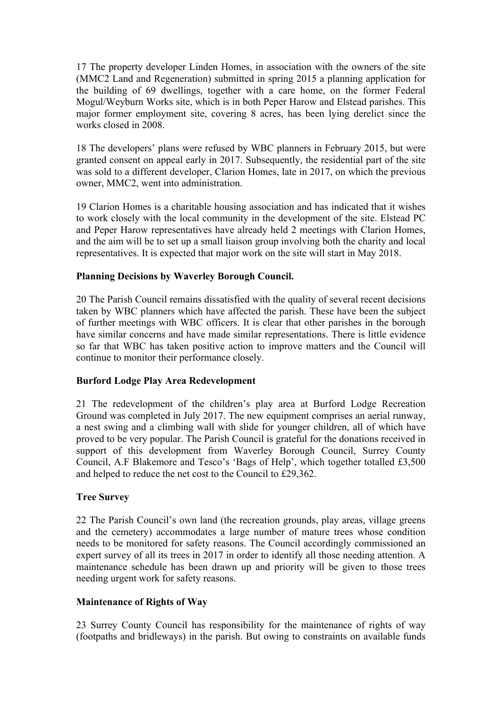17 The property developer Linden Homes, in association with the owners of the site (MMC2 Land and Regeneration) submitted in spring 2015 a planning application for the building of 69 dwellings, together with a care home, on the former Federal Mogul/Weyburn Works site, which is in both Peper Harow and Elstead parishes. This major former employment site, covering 8 acres, has been lying derelict since the works closed in 2008.

18 The developers' plans were refused by WBC planners in February 2015, but were granted consent on appeal early in 2017. Subsequently, the residential part of the site was sold to a different developer, Clarion Homes, late in 2017, on which the previous owner, MMC2, went into administration.

19 Clarion Homes is a charitable housing association and has indicated that it wishes to work closely with the local community in the development of the site. Elstead PC and Peper Harow representatives have already held 2 meetings with Clarion Homes, and the aim will be to set up a small liaison group involving both the charity and local representatives. It is expected that major work on the site will start in May 2018.

# **Planning Decisions by Waverley Borough Council.**

20 The Parish Council remains dissatisfied with the quality of several recent decisions taken by WBC planners which have affected the parish. These have been the subject of further meetings with WBC officers. It is clear that other parishes in the borough have similar concerns and have made similar representations. There is little evidence so far that WBC has taken positive action to improve matters and the Council will continue to monitor their performance closely.

# **Burford Lodge Play Area Redevelopment**

21 The redevelopment of the children's play area at Burford Lodge Recreation Ground was completed in July 2017. The new equipment comprises an aerial runway, a nest swing and a climbing wall with slide for younger children, all of which have proved to be very popular. The Parish Council is grateful for the donations received in support of this development from Waverley Borough Council, Surrey County Council, A.F Blakemore and Tesco's 'Bags of Help', which together totalled £3,500 and helped to reduce the net cost to the Council to £29,362.

# **Tree Survey**

22 The Parish Council's own land (the recreation grounds, play areas, village greens and the cemetery) accommodates a large number of mature trees whose condition needs to be monitored for safety reasons. The Council accordingly commissioned an expert survey of all its trees in 2017 in order to identify all those needing attention. A maintenance schedule has been drawn up and priority will be given to those trees needing urgent work for safety reasons.

#### **Maintenance of Rights of Way**

23 Surrey County Council has responsibility for the maintenance of rights of way (footpaths and bridleways) in the parish. But owing to constraints on available funds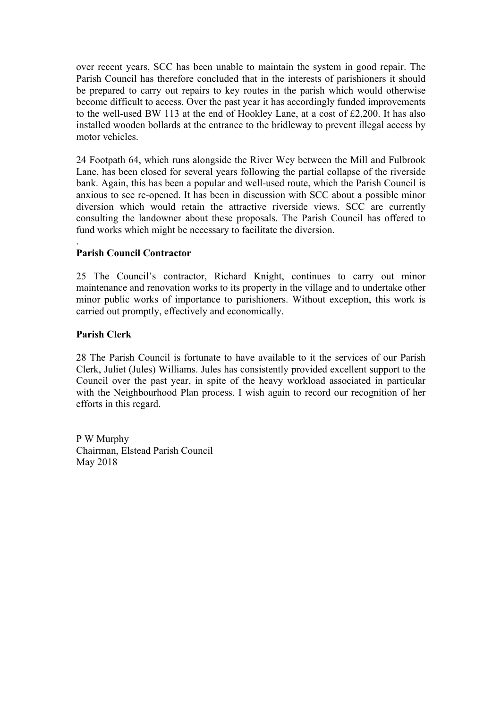over recent years, SCC has been unable to maintain the system in good repair. The Parish Council has therefore concluded that in the interests of parishioners it should be prepared to carry out repairs to key routes in the parish which would otherwise become difficult to access. Over the past year it has accordingly funded improvements to the well-used BW 113 at the end of Hookley Lane, at a cost of £2,200. It has also installed wooden bollards at the entrance to the bridleway to prevent illegal access by motor vehicles.

24 Footpath 64, which runs alongside the River Wey between the Mill and Fulbrook Lane, has been closed for several years following the partial collapse of the riverside bank. Again, this has been a popular and well-used route, which the Parish Council is anxious to see re-opened. It has been in discussion with SCC about a possible minor diversion which would retain the attractive riverside views. SCC are currently consulting the landowner about these proposals. The Parish Council has offered to fund works which might be necessary to facilitate the diversion.

# **Parish Council Contractor**

25 The Council's contractor, Richard Knight, continues to carry out minor maintenance and renovation works to its property in the village and to undertake other minor public works of importance to parishioners. Without exception, this work is carried out promptly, effectively and economically.

### **Parish Clerk**

.

28 The Parish Council is fortunate to have available to it the services of our Parish Clerk, Juliet (Jules) Williams. Jules has consistently provided excellent support to the Council over the past year, in spite of the heavy workload associated in particular with the Neighbourhood Plan process. I wish again to record our recognition of her efforts in this regard.

P W Murphy Chairman, Elstead Parish Council May 2018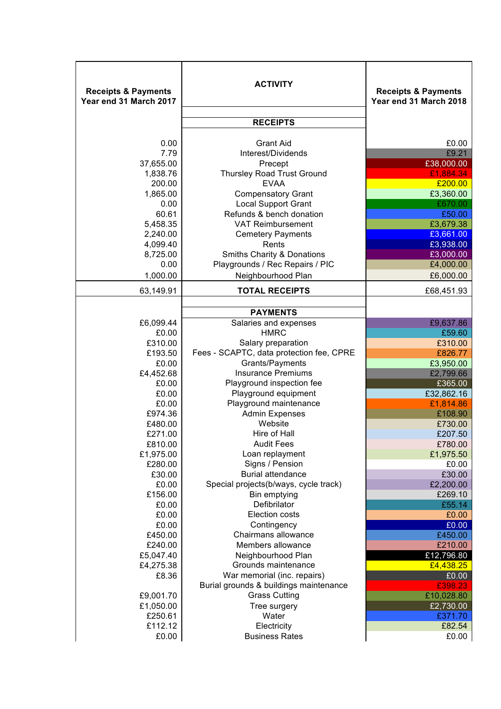| <b>Receipts &amp; Payments</b><br>Year end 31 March 2017 | <b>ACTIVITY</b>                                                       | <b>Receipts &amp; Payments</b><br>Year end 31 March 2018 |
|----------------------------------------------------------|-----------------------------------------------------------------------|----------------------------------------------------------|
|                                                          | <b>RECEIPTS</b>                                                       |                                                          |
| 0.00<br>7.79                                             | <b>Grant Aid</b><br>Interest/Dividends                                | £0.00<br>£9.21                                           |
| 37,655.00<br>1,838.76                                    | Precept<br><b>Thursley Road Trust Ground</b>                          | £38,000.00<br>£1,884.34                                  |
| 200.00                                                   | <b>EVAA</b>                                                           | £200.00                                                  |
| 1,865.00<br>0.00                                         | <b>Compensatory Grant</b><br><b>Local Support Grant</b>               | £3,360.00<br>£670.00                                     |
| 60.61<br>5,458.35                                        | Refunds & bench donation<br><b>VAT Reimbursement</b>                  | £50.00<br>£3,679.38                                      |
| 2,240.00                                                 | <b>Cemetery Payments</b>                                              | £3,661.00                                                |
| 4,099.40<br>8,725.00                                     | Rents<br><b>Smiths Charity &amp; Donations</b>                        | £3,938.00<br>£3,000.00                                   |
| 0.00                                                     | Playgrounds / Rec Repairs / PIC                                       | £4,000.00                                                |
| 1,000.00                                                 | Neighbourhood Plan                                                    | £6,000.00                                                |
| 63,149.91                                                | <b>TOTAL RECEIPTS</b>                                                 | £68,451.93                                               |
|                                                          | <b>PAYMENTS</b>                                                       |                                                          |
| £6,099.44<br>£0.00                                       | Salaries and expenses<br><b>HMRC</b>                                  | £9,637.86<br>£59.60                                      |
| £310.00                                                  | Salary preparation                                                    | £310.00                                                  |
| £193.50                                                  | Fees - SCAPTC, data protection fee, CPRE                              | £826.77                                                  |
| £0.00                                                    | Grants/Payments                                                       | £3,950.00                                                |
| £4,452.68                                                | <b>Insurance Premiums</b>                                             | £2,799.66                                                |
| £0.00                                                    | Playground inspection fee                                             | £365.00                                                  |
| £0.00                                                    | Playground equipment                                                  | £32,862.16                                               |
| £0.00                                                    | Playground maintenance<br><b>Admin Expenses</b>                       | £1,814.86                                                |
| £974.36<br>£480.00                                       | Website                                                               | £108.90<br>£730.00                                       |
| £271.00                                                  | Hire of Hall                                                          | £207.50                                                  |
| £810.00                                                  | <b>Audit Fees</b>                                                     | £780.00                                                  |
| £1,975.00                                                | Loan replayment                                                       | £1,975.50                                                |
| £280.00                                                  | Signs / Pension                                                       | £0.00                                                    |
| £30.00                                                   | <b>Burial attendance</b>                                              | £30.00                                                   |
| £0.00                                                    | Special projects(b/ways, cycle track)                                 | £2,200.00                                                |
| £156.00<br>£0.00                                         | Bin emptying<br>Defibrilator                                          | £269.10<br>£55.14                                        |
| £0.00                                                    | Election costs                                                        | £0.00                                                    |
| £0.00                                                    | Contingency                                                           | £0.00                                                    |
| £450.00                                                  | Chairmans allowance                                                   | £450.00                                                  |
| £240.00                                                  | Members allowance                                                     | £210.00                                                  |
| £5,047.40                                                | Neighbourhood Plan                                                    | £12,796.80                                               |
| £4,275.38                                                | Grounds maintenance                                                   | £4,438.25                                                |
| £8.36                                                    | War memorial (inc. repairs)<br>Burial grounds & buildings maintenance | £0.00<br>£398.23                                         |
| £9,001.70                                                | <b>Grass Cutting</b>                                                  | £10,028.80                                               |
| £1,050.00                                                | Tree surgery                                                          | £2,730.00                                                |
| £250.61                                                  | Water                                                                 | £371.70                                                  |
| £112.12                                                  | Electricity                                                           | £82.54                                                   |
| £0.00                                                    | <b>Business Rates</b>                                                 | £0.00                                                    |